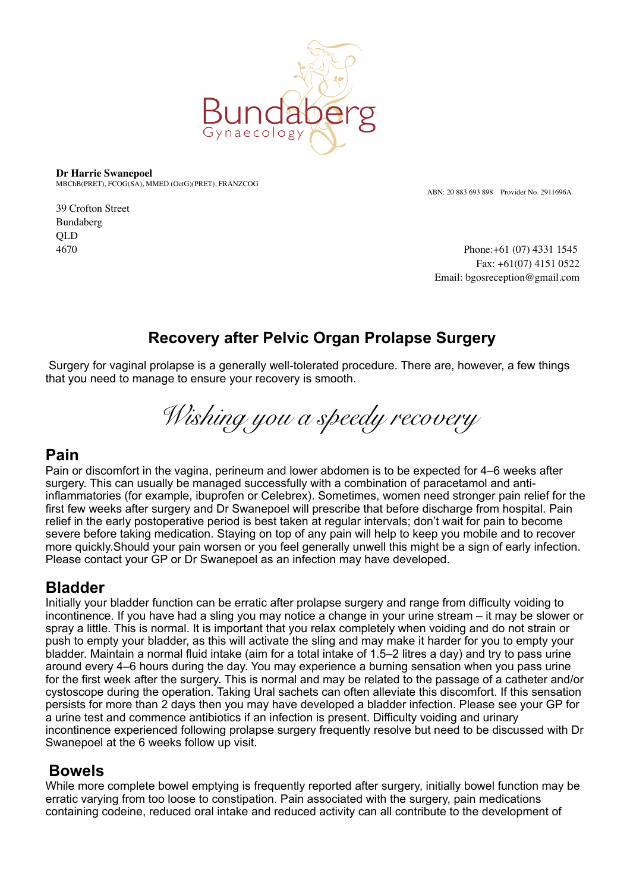

**Dr Harrie Swanepoel** MBChB(PRET), FCOG(SA), MMED (OetG)(PRET), FRANZCOG

ABN: 20 883 693 898 Provider No. 2911696A

39 Crofton Street Bundaberg QLD

4670 Phone:+61 (07) 4331 1545 Fax: +61(07) 4151 0522 Email: bgosreception@gmail.com

# **Recovery after Pelvic Organ Prolapse Surgery**

 Surgery for vaginal prolapse is a generally well-tolerated procedure. There are, however, a few things that you need to manage to ensure your recovery is smooth.

*Wishing you a speedy recovery* 

## **Pain**

Pain or discomfort in the vagina, perineum and lower abdomen is to be expected for 4–6 weeks after surgery. This can usually be managed successfully with a combination of paracetamol and antiinflammatories (for example, ibuprofen or Celebrex). Sometimes, women need stronger pain relief for the first few weeks after surgery and Dr Swanepoel will prescribe that before discharge from hospital. Pain relief in the early postoperative period is best taken at regular intervals; don't wait for pain to become severe before taking medication. Staying on top of any pain will help to keep you mobile and to recover more quickly.Should your pain worsen or you feel generally unwell this might be a sign of early infection. Please contact your GP or Dr Swanepoel as an infection may have developed.

## **Bladder**

Initially your bladder function can be erratic after prolapse surgery and range from difficulty voiding to incontinence. If you have had a sling you may notice a change in your urine stream – it may be slower or spray a little. This is normal. It is important that you relax completely when voiding and do not strain or push to empty your bladder, as this will activate the sling and may make it harder for you to empty your bladder. Maintain a normal fluid intake (aim for a total intake of 1.5–2 litres a day) and try to pass urine around every 4–6 hours during the day. You may experience a burning sensation when you pass urine for the first week after the surgery. This is normal and may be related to the passage of a catheter and/or cystoscope during the operation. Taking Ural sachets can often alleviate this discomfort. If this sensation persists for more than 2 days then you may have developed a bladder infection. Please see your GP for a urine test and commence antibiotics if an infection is present. Difficulty voiding and urinary incontinence experienced following prolapse surgery frequently resolve but need to be discussed with Dr Swanepoel at the 6 weeks follow up visit.

## **Bowels**

While more complete bowel emptying is frequently reported after surgery, initially bowel function may be erratic varying from too loose to constipation. Pain associated with the surgery, pain medications containing codeine, reduced oral intake and reduced activity can all contribute to the development of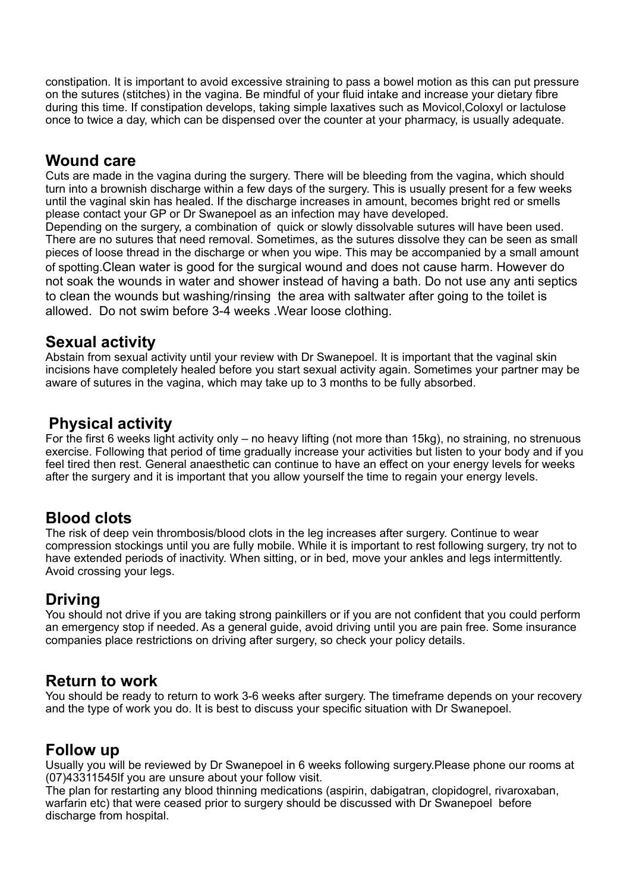constipation. It is important to avoid excessive straining to pass a bowel motion as this can put pressure on the sutures (stitches) in the vagina. Be mindful of your fluid intake and increase your dietary fibre during this time. If constipation develops, taking simple laxatives such as Movicol,Coloxyl or lactulose once to twice a day, which can be dispensed over the counter at your pharmacy, is usually adequate.

## **Wound care**

Cuts are made in the vagina during the surgery. There will be bleeding from the vagina, which should turn into a brownish discharge within a few days of the surgery. This is usually present for a few weeks until the vaginal skin has healed. If the discharge increases in amount, becomes bright red or smells please contact your GP or Dr Swanepoel as an infection may have developed.

Depending on the surgery, a combination of quick or slowly dissolvable sutures will have been used. There are no sutures that need removal. Sometimes, as the sutures dissolve they can be seen as small pieces of loose thread in the discharge or when you wipe. This may be accompanied by a small amount of spotting.Clean water is good for the surgical wound and does not cause harm. However do not soak the wounds in water and shower instead of having a bath. Do not use any anti septics to clean the wounds but washing/rinsing the area with saltwater after going to the toilet is allowed. Do not swim before 3-4 weeks .Wear loose clothing.

#### **Sexual activity**

Abstain from sexual activity until your review with Dr Swanepoel. It is important that the vaginal skin incisions have completely healed before you start sexual activity again. Sometimes your partner may be aware of sutures in the vagina, which may take up to 3 months to be fully absorbed.

## **Physical activity**

For the first 6 weeks light activity only – no heavy lifting (not more than 15kg), no straining, no strenuous exercise. Following that period of time gradually increase your activities but listen to your body and if you feel tired then rest. General anaesthetic can continue to have an effect on your energy levels for weeks after the surgery and it is important that you allow yourself the time to regain your energy levels.

## **Blood clots**

The risk of deep vein thrombosis/blood clots in the leg increases after surgery. Continue to wear compression stockings until you are fully mobile. While it is important to rest following surgery, try not to have extended periods of inactivity. When sitting, or in bed, move your ankles and legs intermittently. Avoid crossing your legs.

#### **Driving**

You should not drive if you are taking strong painkillers or if you are not confident that you could perform an emergency stop if needed. As a general guide, avoid driving until you are pain free. Some insurance companies place restrictions on driving after surgery, so check your policy details.

#### **Return to work**

You should be ready to return to work 3-6 weeks after surgery. The timeframe depends on your recovery and the type of work you do. It is best to discuss your specific situation with Dr Swanepoel.

#### **Follow up**

Usually you will be reviewed by Dr Swanepoel in 6 weeks following surgery.Please phone our rooms at (07)43311545If you are unsure about your follow visit.

The plan for restarting any blood thinning medications (aspirin, dabigatran, clopidogrel, rivaroxaban, warfarin etc) that were ceased prior to surgery should be discussed with Dr Swanepoel before discharge from hospital.